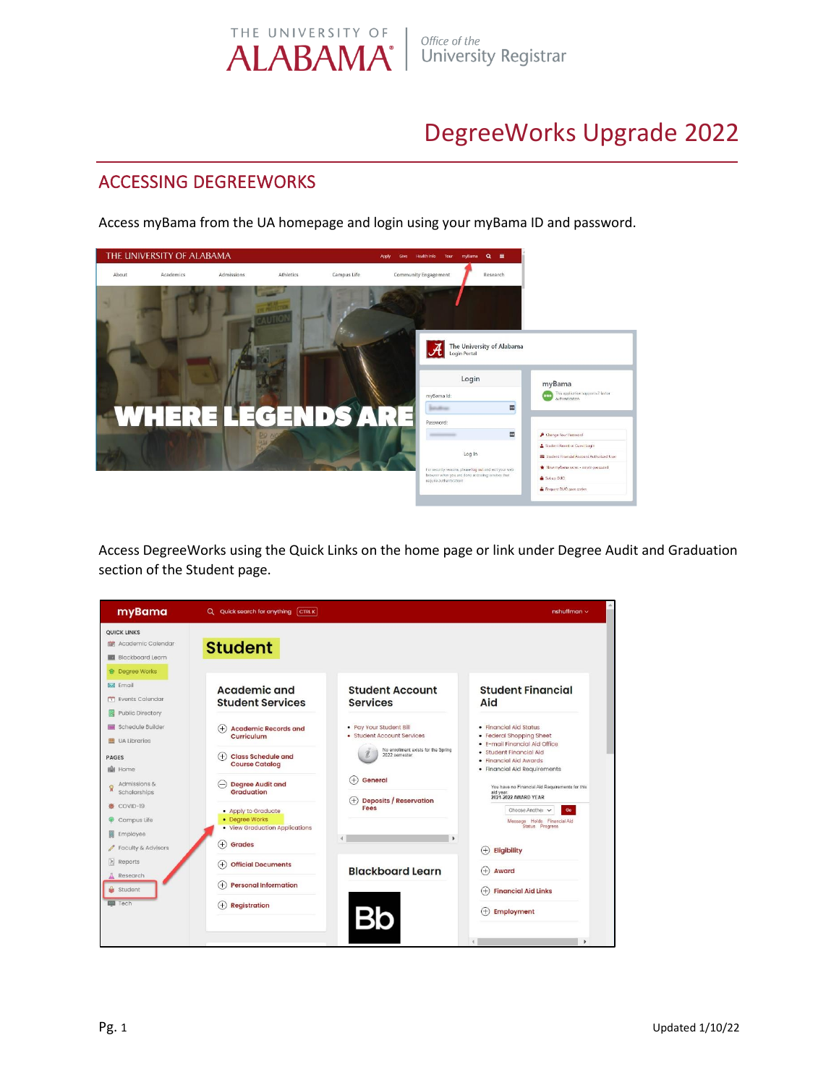

## DegreeWorks Upgrade 2022

## ACCESSING DEGREEWORKS

Access myBama from the UA homepage and login using your myBama ID and password.



Access DegreeWorks using the Quick Links on the home page or link under Degree Audit and Graduation section of the Student page.

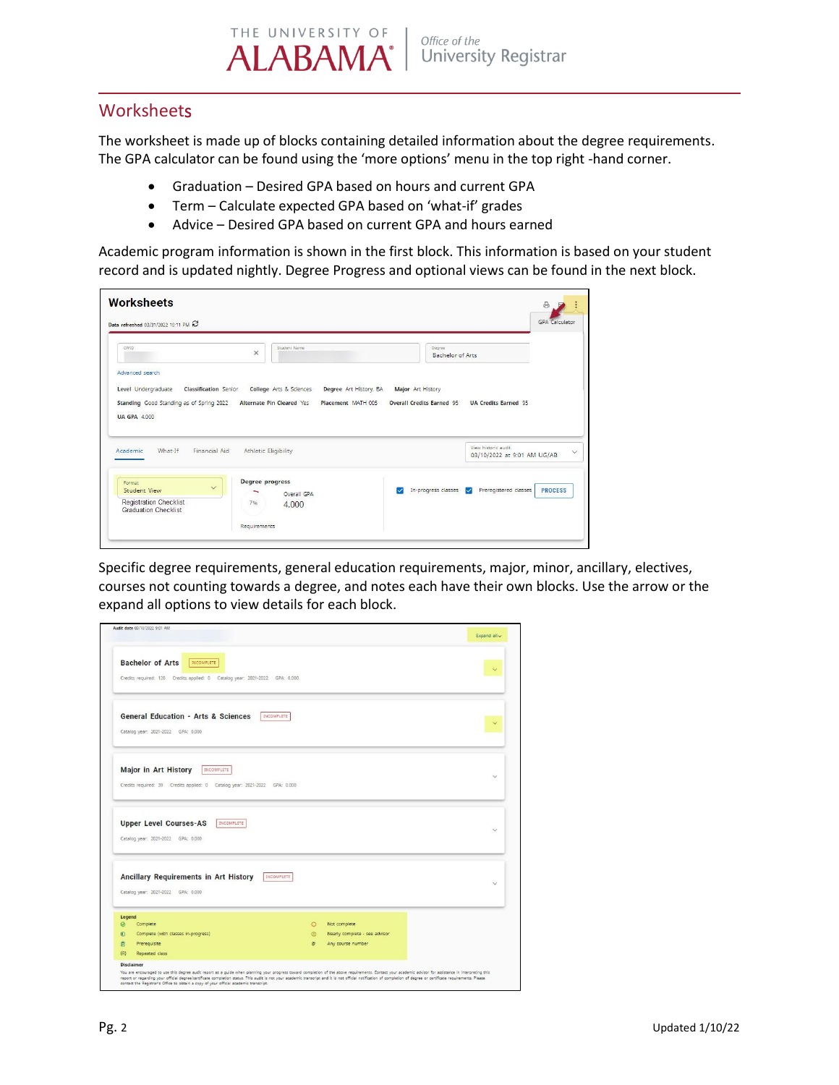THE UNIVERSITY OF Office of the **ALABAMA** University Registrar

### **Worksheets**

The worksheet is made up of blocks containing detailed information about the degree requirements. The GPA calculator can be found using the 'more options' menu in the top right -hand corner.

- Graduation Desired GPA based on hours and current GPA
- Term Calculate expected GPA based on 'what-if' grades
- Advice Desired GPA based on current GPA and hours earned

Academic program information is shown in the first block. This information is based on your student record and is updated nightly. Degree Progress and optional views can be found in the next block.

| Data refreshed 03/31/2022 10:11 PM                                                               |                                                        |                                                                 |
|--------------------------------------------------------------------------------------------------|--------------------------------------------------------|-----------------------------------------------------------------|
| CWID.                                                                                            | Student Name<br>$\times$                               | Degree<br>Bachelor of Arts                                      |
| Advanced search                                                                                  |                                                        |                                                                 |
| Level Undergraduate<br>Classification Senior                                                     | College Arts & Sciences<br>Degree Art History, BA      | Major Art History                                               |
| Standing Good Standing as of Spring 2022                                                         | <b>Alternate Pin Cleared Yes</b><br>Placement MATH 005 | <b>Overall Credits Earned 95</b><br><b>UA Credits Earned 95</b> |
|                                                                                                  |                                                        |                                                                 |
|                                                                                                  |                                                        |                                                                 |
|                                                                                                  |                                                        |                                                                 |
|                                                                                                  |                                                        |                                                                 |
| What-If<br>Financial Aid                                                                         | Athletic Eligibility                                   | View historic audit<br>03/10/2022 at 9:01 AM UG/AB              |
|                                                                                                  |                                                        |                                                                 |
| Format<br>$\checkmark$<br><b>Student View</b>                                                    | <b>Degree progress</b>                                 | ◡                                                               |
|                                                                                                  | Overall GPA<br>7%                                      | <b>PROCESS</b><br>In-progress classes<br>Preregistered classes  |
| <b>UA GPA 4.000</b><br>Academic.<br><b>Registration Checklist</b><br><b>Graduation Checklist</b> | 4.000                                                  |                                                                 |

Specific degree requirements, general education requirements, major, minor, ancillary, electives, courses not counting towards a degree, and notes each have their own blocks. Use the arrow or the expand all options to view details for each block.

|             | Audit date 03/10/2022 9:01 AM                                                                                                                                                                            |          |                               | Expand all v |
|-------------|----------------------------------------------------------------------------------------------------------------------------------------------------------------------------------------------------------|----------|-------------------------------|--------------|
|             | <b>Bachelor of Arts</b><br><b>INCOMPLETE</b><br>Credits required: 120 Credits applied: 0 Catalog year: 2021-2022 GPA: 0.000                                                                              |          |                               |              |
|             | <b>General Education - Arts &amp; Sciences</b><br>INCOMPLETE<br>Catalog year: 2021-2022 GPA: 0.000                                                                                                       |          |                               |              |
|             | Major in Art History<br>INCOMPLETE<br>Credits required: 39 Credits applied: 0 Catalog year: 2021-2022 GPA: 0.000                                                                                         |          |                               | $\checkmark$ |
|             | <b>Upper Level Courses-AS</b><br>INCOMPLETE<br>Catalog year: 2021-2022 GPA: 0.000                                                                                                                        |          |                               | $\checkmark$ |
|             | Ancillary Requirements in Art History<br>INCOMPLETE<br>Catalog year: 2021-2022 GPA: 0.000                                                                                                                |          |                               |              |
| Legend<br>◎ | Complete                                                                                                                                                                                                 | $\circ$  | Not complete                  |              |
| $\circ$     | Complete (with classes in-progress)                                                                                                                                                                      | $\omega$ | Nearly complete - see advisor |              |
| 南           | Prerequisite                                                                                                                                                                                             | $\circ$  | Any course number             |              |
| (R)         | Repeated class                                                                                                                                                                                           |          |                               |              |
|             | <b>Disclaimer</b>                                                                                                                                                                                        |          |                               |              |
|             | You are encouraged to use this degree audit report as a guide when planning your progress toward completion of the above requirements. Contact your academic advisor for assistance in interpreting this |          |                               |              |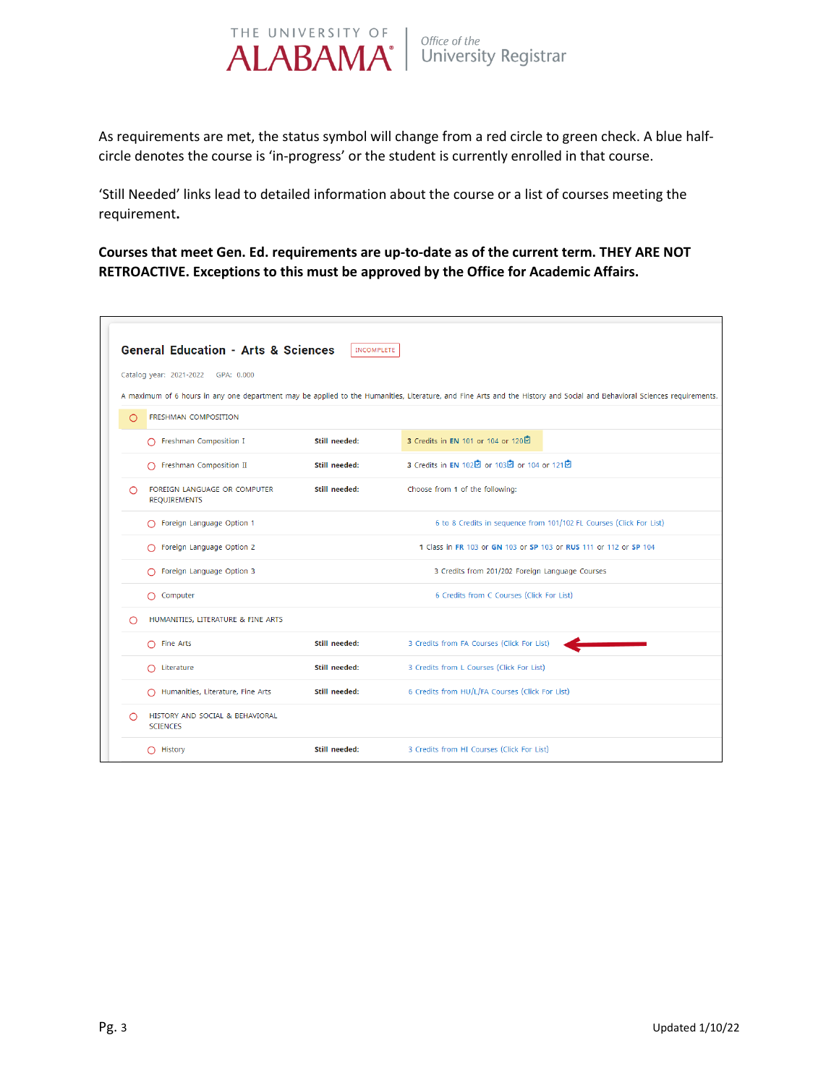

As requirements are met, the status symbol will change from a red circle to green check. A blue halfcircle denotes the course is 'in-progress' or the student is currently enrolled in that course.

'Still Needed' links lead to detailed information about the course or a list of courses meeting the requirement**.** 

**Courses that meet Gen. Ed. requirements are up-to-date as of the current term. THEY ARE NOT RETROACTIVE. Exceptions to this must be approved by the Office for Academic Affairs.** 

|   | <b>General Education - Arts &amp; Sciences</b>      | <b>INCOMPLETE</b> |                                                                                                                                                                         |
|---|-----------------------------------------------------|-------------------|-------------------------------------------------------------------------------------------------------------------------------------------------------------------------|
|   | Catalog year: 2021-2022 GPA: 0.000                  |                   |                                                                                                                                                                         |
|   |                                                     |                   | A maximum of 6 hours in any one department may be applied to the Humanities, Literature, and Fine Arts and the History and Social and Behavioral Sciences requirements. |
| ∩ | <b>FRESHMAN COMPOSITION</b>                         |                   |                                                                                                                                                                         |
|   | ◯ Freshman Composition I                            | Still needed:     | 3 Credits in EN 101 or 104 or 120인                                                                                                                                      |
|   | ◯ Freshman Composition II                           | Still needed:     | 3 Credits in EN 102년 or 103년 or 104 or 121년                                                                                                                             |
| ∩ | FOREIGN LANGUAGE OR COMPUTER<br><b>REQUIREMENTS</b> | Still needed:     | Choose from 1 of the following:                                                                                                                                         |
|   | ◯ Foreign Language Option 1                         |                   | 6 to 8 Credits in sequence from 101/102 FL Courses (Click For List)                                                                                                     |
|   | ◯ Foreign Language Option 2                         |                   | 1 Class in FR 103 or GN 103 or SP 103 or RUS 111 or 112 or SP 104                                                                                                       |
|   | ◯ Foreign Language Option 3                         |                   | 3 Credits from 201/202 Foreign Language Courses                                                                                                                         |
|   | $\bigcap$ Computer                                  |                   | 6 Credits from C Courses (Click For List)                                                                                                                               |
|   | HUMANITIES, LITERATURE & FINE ARTS                  |                   |                                                                                                                                                                         |
|   | $\cap$ Fine Arts                                    | Still needed:     | 3 Credits from FA Courses (Click For List)                                                                                                                              |
|   | $\bigcap$ Literature                                | Still needed:     | 3 Credits from L Courses (Click For List)                                                                                                                               |
|   | Humanities, Literature, Fine Arts                   | Still needed:     | 6 Credits from HU/L/FA Courses (Click For List)                                                                                                                         |
| ∩ | HISTORY AND SOCIAL & BEHAVIORAL<br><b>SCIENCES</b>  |                   |                                                                                                                                                                         |
|   | $\bigcap$ History                                   | Still needed:     | 3 Credits from HI Courses (Click For List)                                                                                                                              |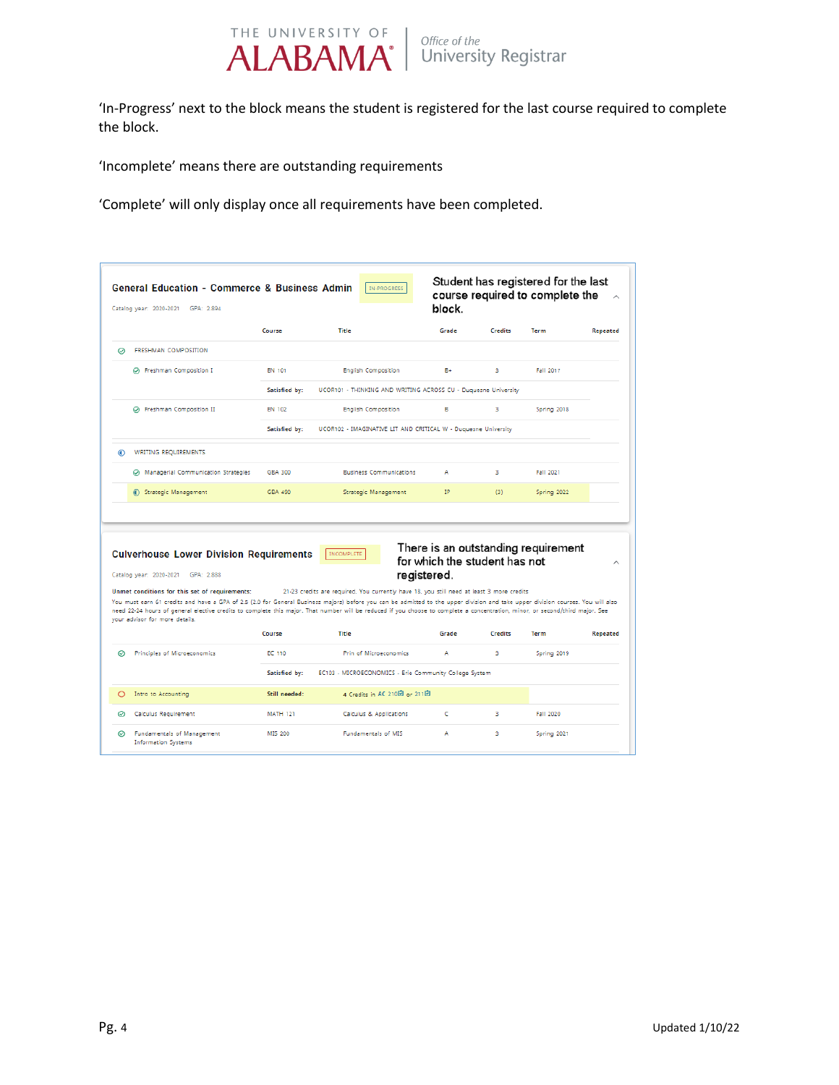

'In-Progress' next to the block means the student is registered for the last course required to complete the block.

'Incomplete' means there are outstanding requirements

'Complete' will only display once all requirements have been completed.

|   | <b>General Education - Commerce &amp; Business Admin</b><br>Catalog year: 2020-2021<br>GPA: 2.894                                                                                                                                                                                                                                                                                                                                                     |                 | IN-PROGRESS                                                                                        | block.                        |                | Student has registered for the last<br>course required to complete the | $\land$                     |
|---|-------------------------------------------------------------------------------------------------------------------------------------------------------------------------------------------------------------------------------------------------------------------------------------------------------------------------------------------------------------------------------------------------------------------------------------------------------|-----------------|----------------------------------------------------------------------------------------------------|-------------------------------|----------------|------------------------------------------------------------------------|-----------------------------|
|   |                                                                                                                                                                                                                                                                                                                                                                                                                                                       | Course          | Title                                                                                              | Grade                         | <b>Credits</b> | Term                                                                   | Repeated                    |
| ⊝ | FRESHMAN COMPOSITION                                                                                                                                                                                                                                                                                                                                                                                                                                  |                 |                                                                                                    |                               |                |                                                                        |                             |
|   | ⊙ Freshman Composition I                                                                                                                                                                                                                                                                                                                                                                                                                              | EN 101          | <b>English Composition</b>                                                                         | B+                            | 3              | Fall 2017                                                              |                             |
|   |                                                                                                                                                                                                                                                                                                                                                                                                                                                       | Satisfied by:   | UCOR101 - THINKING AND WRITING ACROSS CU - Duquesne University                                     |                               |                |                                                                        |                             |
|   | ⊙ Freshman Composition II                                                                                                                                                                                                                                                                                                                                                                                                                             | EN 102          | <b>English Composition</b>                                                                         | B                             | 3              | Spring 2018                                                            |                             |
|   |                                                                                                                                                                                                                                                                                                                                                                                                                                                       | Satisfied by:   | UCOR102 - IMAGINATIVE LIT AND CRITICAL W - Duquesne University                                     |                               |                |                                                                        |                             |
| ഩ | WRITING REQUIREMENTS                                                                                                                                                                                                                                                                                                                                                                                                                                  |                 |                                                                                                    |                               |                |                                                                        |                             |
|   | Managerial Communication Strategies                                                                                                                                                                                                                                                                                                                                                                                                                   | <b>GBA 300</b>  | <b>Business Communications</b>                                                                     | A                             | 3              | Fall 2021                                                              |                             |
|   |                                                                                                                                                                                                                                                                                                                                                                                                                                                       |                 |                                                                                                    |                               |                |                                                                        |                             |
|   | 6 Strategic Management                                                                                                                                                                                                                                                                                                                                                                                                                                | GBA 490         | Strategic Management                                                                               | IP.                           | (3)            | Spring 2022                                                            |                             |
|   | <b>Culverhouse Lower Division Requirements</b><br>Catalog year: 2020-2021 GPA: 2.888                                                                                                                                                                                                                                                                                                                                                                  |                 | <b>INCOMPLETE</b><br>registered.                                                                   | for which the student has not |                | There is an outstanding requirement                                    |                             |
|   | Unmet conditions for this set of requirements:<br>You must earn 61 credits and have a GPA of 2.5 (2.0 for General Business majors) before you can be admitted to the upper division and take upper division courses. You will also<br>need 22-24 hours of general elective credits to complete this major. That number will be reduced if you choose to complete a concentration, minor, or second/third major. See<br>your advisor for more details. | Course          | 21-23 credits are required. You currently have 18, you still need at least 3 more credits<br>Title | Grade                         | <b>Credits</b> | Term                                                                   | $\wedge$<br><b>Repeated</b> |
| の | Principles of Microeconomics                                                                                                                                                                                                                                                                                                                                                                                                                          | EC 110          | Prin of Microeconomics                                                                             | А                             | 3              |                                                                        |                             |
|   |                                                                                                                                                                                                                                                                                                                                                                                                                                                       | Satisfied by:   | EC103 - MICROECONOMICS - Erie Community College System                                             |                               |                | Spring 2019                                                            |                             |
| O | Intro to Accounting                                                                                                                                                                                                                                                                                                                                                                                                                                   | Still needed:   | 4 Credits in AC 210回 or 211回                                                                       |                               |                |                                                                        |                             |
| ◎ | Calculus Requirement                                                                                                                                                                                                                                                                                                                                                                                                                                  | <b>MATH 121</b> | Calculus & Applications                                                                            | c                             | 3              | Fall 2020                                                              |                             |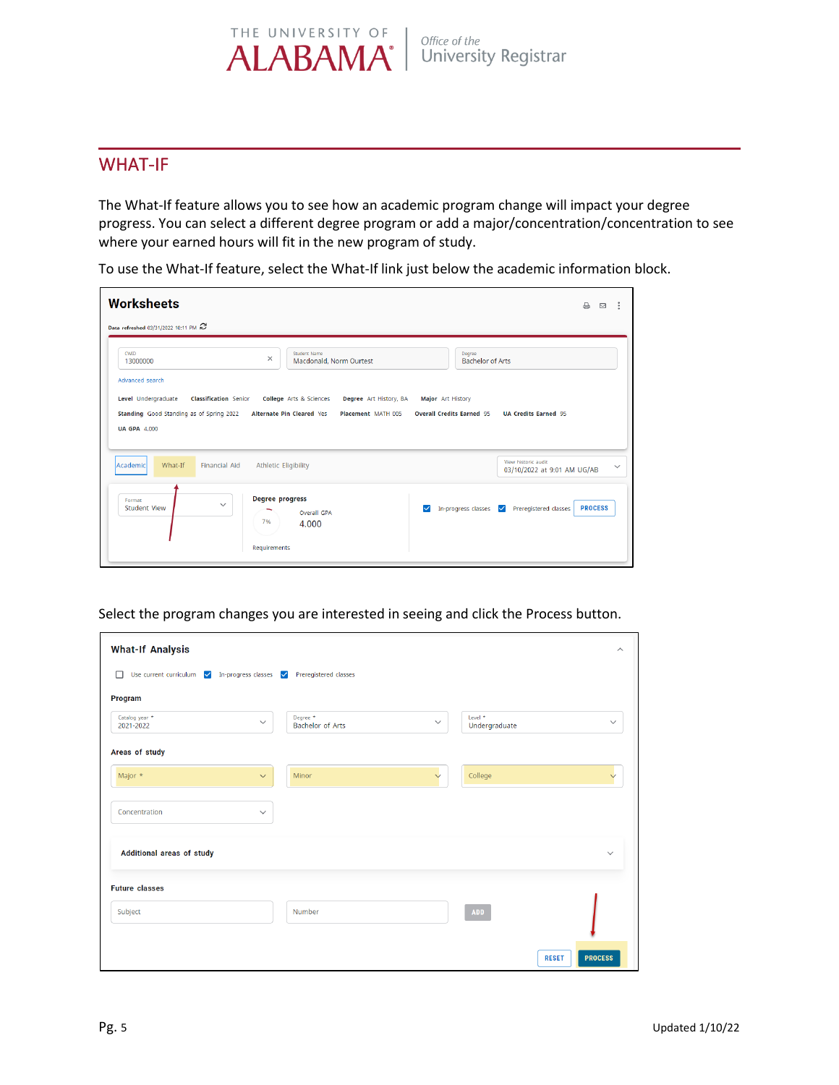#### THE UNIVERSITY OF Office of the **ALABAMA University Registrar**

### WHAT-IF

The What-If feature allows you to see how an academic program change will impact your degree progress. You can select a different degree program or add a major/concentration/concentration to see where your earned hours will fit in the new program of study.

| Data refreshed 03/31/2022 10:11 PM<br><b>Student Name</b><br>CWID<br>Degree<br>$\times$<br><b>Bachelor of Arts</b><br>Macdonald, Norm Ourtest<br>13000000<br>Advanced search<br>Level Undergraduate<br><b>Classification Senior</b><br><b>College</b> Arts & Sciences<br>Degree Art History, BA<br>Major Art History<br><b>Overall Credits Earned 95</b><br>Standing Good Standing as of Spring 2022<br><b>Alternate Pin Cleared Yes</b><br>Placement MATH 005<br><b>UA Credits Earned 95</b><br><b>UA GPA 4,000</b><br>View historic audit<br>What-If<br>Academic<br><b>Financial Aid</b><br><b>Athletic Eligibility</b><br>03/10/2022 at 9:01 AM UG/AB<br><b>Degree progress</b><br>Format<br>$\checkmark$ | <b>Worksheets</b>   |             |                     |                       | $\triangleright$<br>$\boxtimes$ | ÷            |
|--------------------------------------------------------------------------------------------------------------------------------------------------------------------------------------------------------------------------------------------------------------------------------------------------------------------------------------------------------------------------------------------------------------------------------------------------------------------------------------------------------------------------------------------------------------------------------------------------------------------------------------------------------------------------------------------------------------|---------------------|-------------|---------------------|-----------------------|---------------------------------|--------------|
|                                                                                                                                                                                                                                                                                                                                                                                                                                                                                                                                                                                                                                                                                                              |                     |             |                     |                       |                                 |              |
|                                                                                                                                                                                                                                                                                                                                                                                                                                                                                                                                                                                                                                                                                                              |                     |             |                     |                       |                                 |              |
|                                                                                                                                                                                                                                                                                                                                                                                                                                                                                                                                                                                                                                                                                                              |                     |             |                     |                       |                                 |              |
|                                                                                                                                                                                                                                                                                                                                                                                                                                                                                                                                                                                                                                                                                                              |                     |             |                     |                       |                                 |              |
|                                                                                                                                                                                                                                                                                                                                                                                                                                                                                                                                                                                                                                                                                                              |                     |             |                     |                       |                                 |              |
|                                                                                                                                                                                                                                                                                                                                                                                                                                                                                                                                                                                                                                                                                                              |                     |             |                     |                       |                                 |              |
|                                                                                                                                                                                                                                                                                                                                                                                                                                                                                                                                                                                                                                                                                                              |                     |             |                     |                       |                                 |              |
|                                                                                                                                                                                                                                                                                                                                                                                                                                                                                                                                                                                                                                                                                                              |                     |             |                     |                       |                                 |              |
|                                                                                                                                                                                                                                                                                                                                                                                                                                                                                                                                                                                                                                                                                                              |                     |             |                     |                       |                                 |              |
|                                                                                                                                                                                                                                                                                                                                                                                                                                                                                                                                                                                                                                                                                                              |                     |             |                     |                       |                                 | $\checkmark$ |
|                                                                                                                                                                                                                                                                                                                                                                                                                                                                                                                                                                                                                                                                                                              |                     |             |                     |                       |                                 |              |
| 7%<br>4.000                                                                                                                                                                                                                                                                                                                                                                                                                                                                                                                                                                                                                                                                                                  |                     |             |                     |                       |                                 |              |
| Requirements                                                                                                                                                                                                                                                                                                                                                                                                                                                                                                                                                                                                                                                                                                 | <b>Student View</b> | Overall GPA | In-progress classes | Preregistered classes | <b>PROCESS</b>                  |              |

To use the What-If feature, select the What-If link just below the academic information block.

Select the program changes you are interested in seeing and click the Process button.

| <b>What-If Analysis</b>     |              |                                                |              |                                     | $\wedge$                       |
|-----------------------------|--------------|------------------------------------------------|--------------|-------------------------------------|--------------------------------|
| Use current curriculum<br>□ |              | In-progress classes<br>V Preregistered classes |              |                                     |                                |
| Program                     |              |                                                |              |                                     |                                |
| Catalog year *<br>2021-2022 | $\checkmark$ | Degree *<br><b>Bachelor of Arts</b>            | $\checkmark$ | Level <sup>*</sup><br>Undergraduate | $\checkmark$                   |
| Areas of study              |              |                                                |              |                                     |                                |
| Major *                     | $\checkmark$ | Minor                                          | $\checkmark$ | College                             | $\checkmark$                   |
| Concentration               | $\checkmark$ |                                                |              |                                     |                                |
| Additional areas of study   |              |                                                |              |                                     | $\checkmark$                   |
| <b>Future classes</b>       |              |                                                |              |                                     |                                |
| Subject                     |              | Number                                         |              | <b>ADD</b>                          |                                |
|                             |              |                                                |              |                                     | <b>PROCESS</b><br><b>RESET</b> |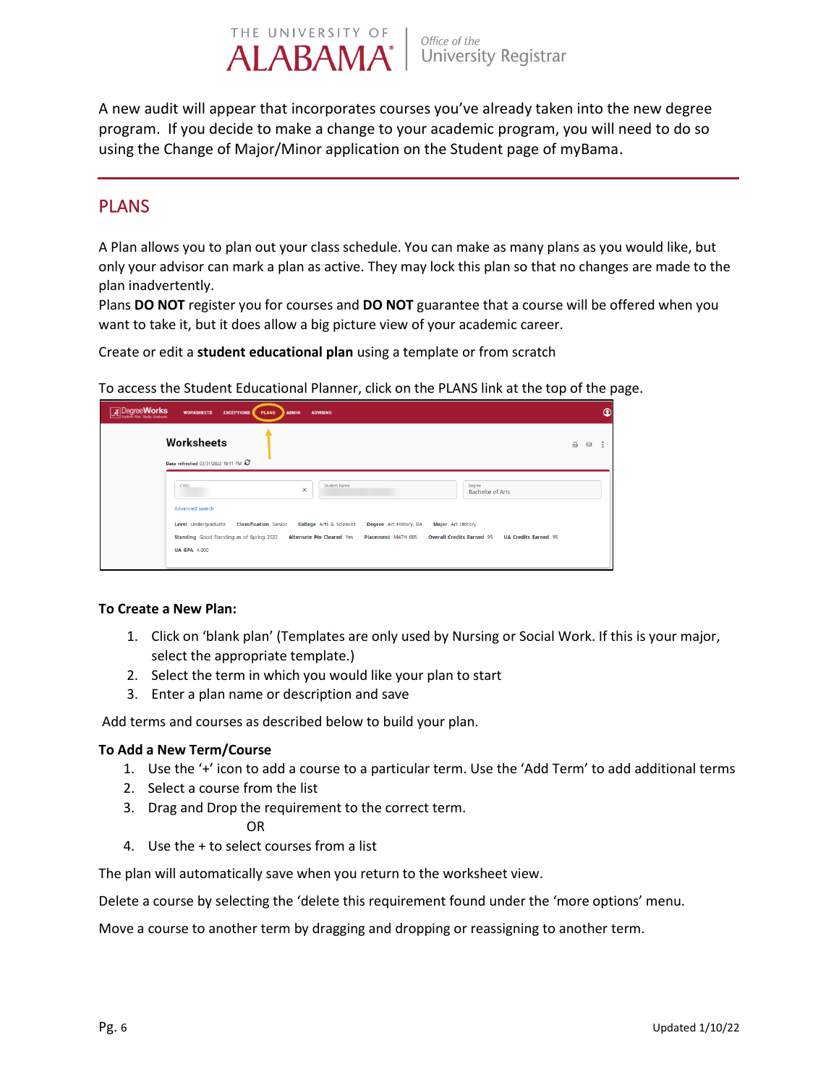A new audit will appear that incorporates courses you've already taken into the new degree program. If you decide to make a change to your academic program, you will need to do so using the Change of Major/Minor application on the Student page of myBama.

Office of the

**University Registrar** 

### PLANS

A Plan allows you to plan out your class schedule. You can make as many plans as you would like, but only your advisor can mark a plan as active. They may lock this plan so that no changes are made to the plan inadvertently.

Plans **DO NOT** register you for courses and **DO NOT** guarantee that a course will be offered when you want to take it, but it does allow a big picture view of your academic career.

Create or edit a **student educational plan** using a template or from scratch

THE UNIVERSITY OF

**ALABAMA**<sup>\*</sup>

To access the Student Educational Planner, click on the PLANS link at the top of the page.

| <b>A</b> Degree Works<br><b>WORKSHEETS</b><br><b>EXCEPTIONS</b><br><b>PLANS</b><br><b>ADVISING</b><br><b>ADMIN</b>                                                                                                                                                                                                                                                                                                        |          |   | $\Omega$ |
|---------------------------------------------------------------------------------------------------------------------------------------------------------------------------------------------------------------------------------------------------------------------------------------------------------------------------------------------------------------------------------------------------------------------------|----------|---|----------|
| <b>Worksheets</b><br>Data refreshed 03/31/2022 10:11 PM                                                                                                                                                                                                                                                                                                                                                                   | $\oplus$ | Ø | - 3      |
| CWID<br>Student Name<br>Degree<br>$\times$<br><b>Bachelor of Arts</b><br>Advanced search<br>Level Undergraduate<br><b>Classification Senior</b><br>College Arts & Sciences<br>Degree Art History, BA<br>Major Art History<br>Standing Good Standing as of Spring 2022<br><b>Alternate Pin Cleared Yes</b><br><b>Overall Credits Earned 95</b><br>Placement MATH 005<br><b>UA Credits Earned 95</b><br><b>UA GPA 4,000</b> |          |   |          |

#### **To Create a New Plan:**

- 1. Click on 'blank plan' (Templates are only used by Nursing or Social Work. If this is your major, select the appropriate template.)
- 2. Select the term in which you would like your plan to start
- 3. Enter a plan name or description and save

Add terms and courses as described below to build your plan.

#### **To Add a New Term/Course**

- 1. Use the '+' icon to add a course to a particular term. Use the 'Add Term' to add additional terms
- 2. Select a course from the list
- 3. Drag and Drop the requirement to the correct term.

#### OR

4. Use the + to select courses from a list

The plan will automatically save when you return to the worksheet view.

Delete a course by selecting the 'delete this requirement found under the 'more options' menu.

Move a course to another term by dragging and dropping or reassigning to another term.